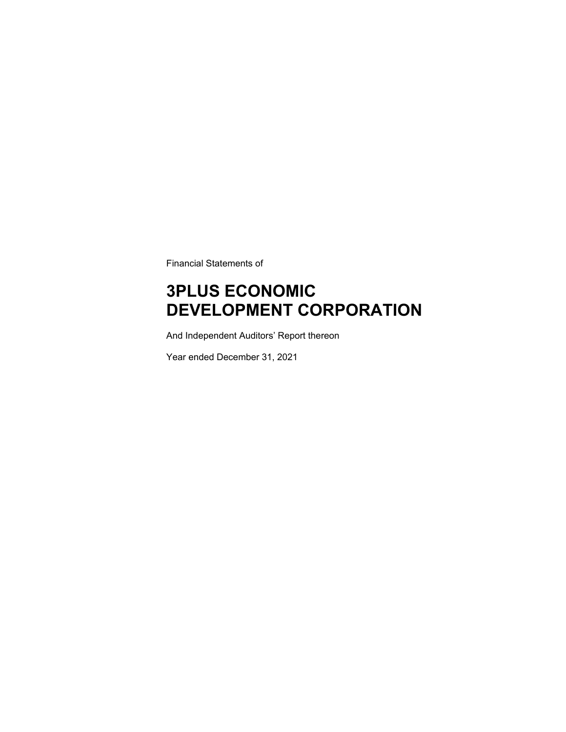Financial Statements of

# **3PLUS ECONOMIC DEVELOPMENT CORPORATION**

And Independent Auditors' Report thereon

Year ended December 31, 2021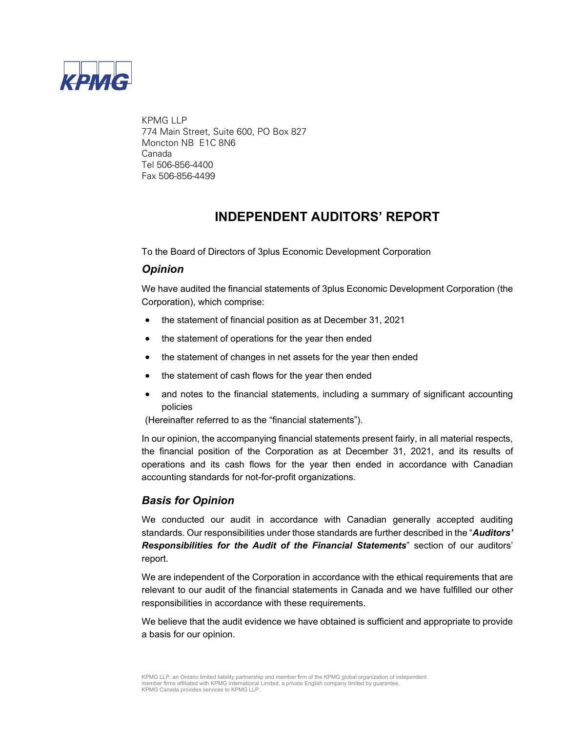

KPMG LLP 774 Main Street, Suite 600, PO Box 827 Moncton NB E1C 8N6 Canada Tel 506-856-4400 Fax 506-856-4499

### **INDEPENDENT AUDITORS' REPORT**

To the Board of Directors of 3plus Economic Development Corporation

### *Opinion*

We have audited the financial statements of 3plus Economic Development Corporation (the Corporation), which comprise:

- the statement of financial position as at December 31, 2021
- the statement of operations for the year then ended
- the statement of changes in net assets for the year then ended
- the statement of cash flows for the year then ended
- and notes to the financial statements, including a summary of significant accounting policies

(Hereinafter referred to as the "financial statements").

In our opinion, the accompanying financial statements present fairly, in all material respects, the financial position of the Corporation as at December 31, 2021, and its results of operations and its cash flows for the year then ended in accordance with Canadian accounting standards for not-for-profit organizations.

### *Basis for Opinion*

We conducted our audit in accordance with Canadian generally accepted auditing standards. Our responsibilities under those standards are further described in the "*Auditors' Responsibilities for the Audit of the Financial Statements*" section of our auditors' report.

We are independent of the Corporation in accordance with the ethical requirements that are relevant to our audit of the financial statements in Canada and we have fulfilled our other responsibilities in accordance with these requirements.

We believe that the audit evidence we have obtained is sufficient and appropriate to provide a basis for our opinion.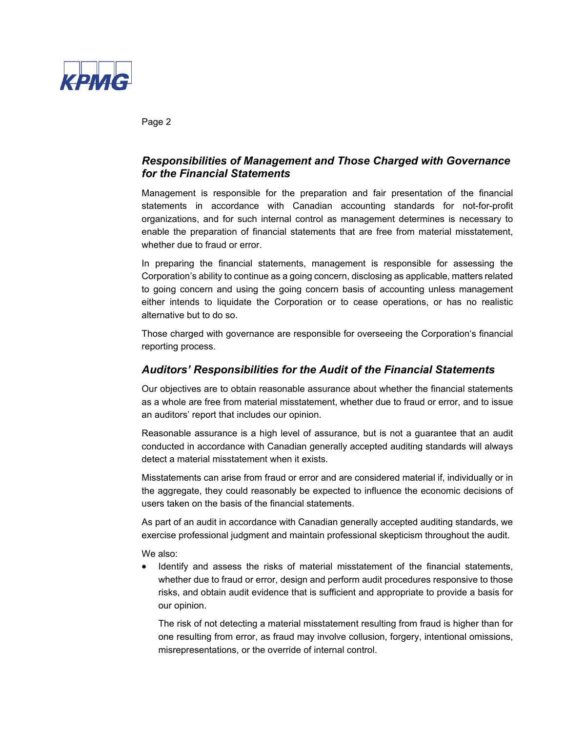

Page 2

### *Responsibilities of Management and Those Charged with Governance for the Financial Statements*

Management is responsible for the preparation and fair presentation of the financial statements in accordance with Canadian accounting standards for not-for-profit organizations, and for such internal control as management determines is necessary to enable the preparation of financial statements that are free from material misstatement, whether due to fraud or error.

In preparing the financial statements, management is responsible for assessing the Corporation's ability to continue as a going concern, disclosing as applicable, matters related to going concern and using the going concern basis of accounting unless management either intends to liquidate the Corporation or to cease operations, or has no realistic alternative but to do so.

Those charged with governance are responsible for overseeing the Corporation's financial reporting process.

### *Auditors' Responsibilities for the Audit of the Financial Statements*

Our objectives are to obtain reasonable assurance about whether the financial statements as a whole are free from material misstatement, whether due to fraud or error, and to issue an auditors' report that includes our opinion.

Reasonable assurance is a high level of assurance, but is not a guarantee that an audit conducted in accordance with Canadian generally accepted auditing standards will always detect a material misstatement when it exists.

Misstatements can arise from fraud or error and are considered material if, individually or in the aggregate, they could reasonably be expected to influence the economic decisions of users taken on the basis of the financial statements.

As part of an audit in accordance with Canadian generally accepted auditing standards, we exercise professional judgment and maintain professional skepticism throughout the audit.

We also:

 Identify and assess the risks of material misstatement of the financial statements, whether due to fraud or error, design and perform audit procedures responsive to those risks, and obtain audit evidence that is sufficient and appropriate to provide a basis for our opinion.

The risk of not detecting a material misstatement resulting from fraud is higher than for one resulting from error, as fraud may involve collusion, forgery, intentional omissions, misrepresentations, or the override of internal control.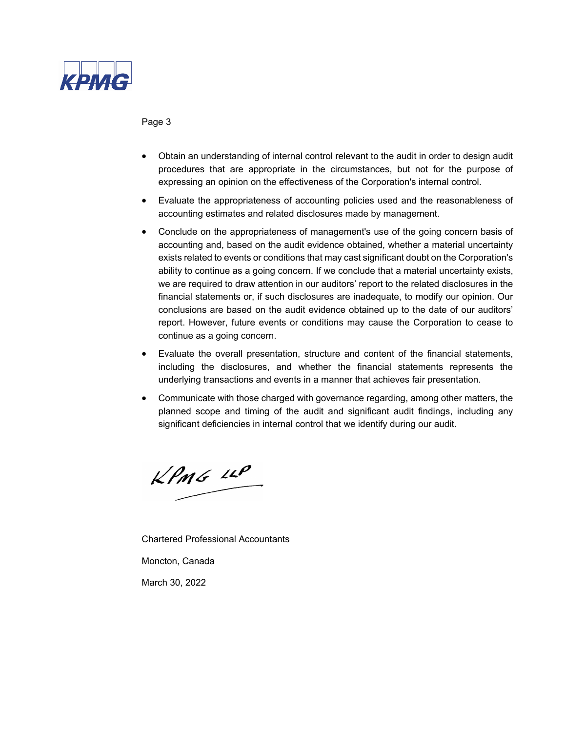

Page 3

- Obtain an understanding of internal control relevant to the audit in order to design audit procedures that are appropriate in the circumstances, but not for the purpose of expressing an opinion on the effectiveness of the Corporation's internal control.
- Evaluate the appropriateness of accounting policies used and the reasonableness of accounting estimates and related disclosures made by management.
- Conclude on the appropriateness of management's use of the going concern basis of accounting and, based on the audit evidence obtained, whether a material uncertainty exists related to events or conditions that may cast significant doubt on the Corporation's ability to continue as a going concern. If we conclude that a material uncertainty exists, we are required to draw attention in our auditors' report to the related disclosures in the financial statements or, if such disclosures are inadequate, to modify our opinion. Our conclusions are based on the audit evidence obtained up to the date of our auditors' report. However, future events or conditions may cause the Corporation to cease to continue as a going concern.
- Evaluate the overall presentation, structure and content of the financial statements, including the disclosures, and whether the financial statements represents the underlying transactions and events in a manner that achieves fair presentation.
- Communicate with those charged with governance regarding, among other matters, the planned scope and timing of the audit and significant audit findings, including any significant deficiencies in internal control that we identify during our audit.

 $KPMG$  14P

Chartered Professional Accountants

Moncton, Canada

March 30, 2022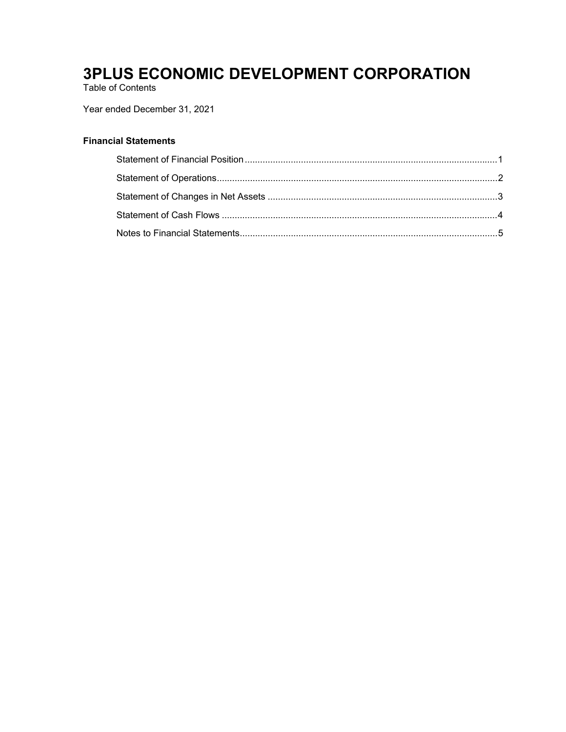Table of Contents

### Year ended December 31, 2021

### **Financial Statements**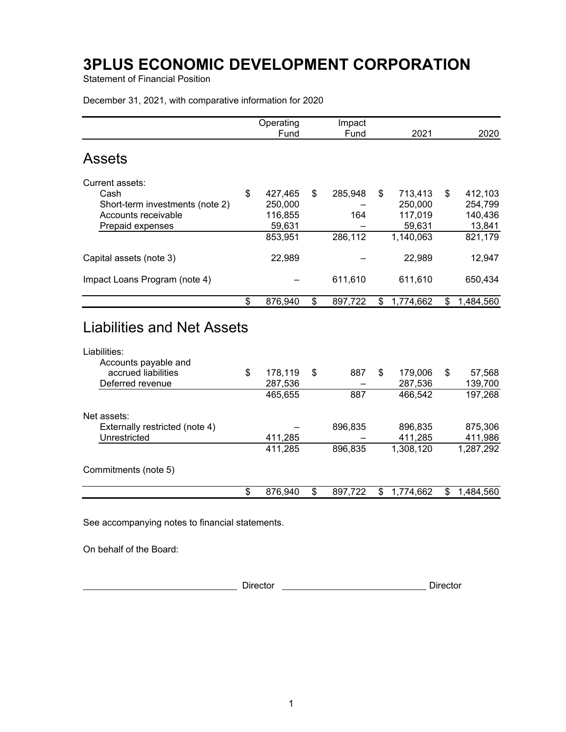Statement of Financial Position

December 31, 2021, with comparative information for 2020

|                                                                                                  | Operating<br>Fund | Impact<br>Fund | 2021            | 2020            |
|--------------------------------------------------------------------------------------------------|-------------------|----------------|-----------------|-----------------|
| <b>Assets</b>                                                                                    |                   |                |                 |                 |
|                                                                                                  |                   |                |                 |                 |
| Current assets:<br>Cash                                                                          | \$<br>427,465     | \$<br>285,948  | \$<br>713,413   | \$<br>412,103   |
| Short-term investments (note 2)                                                                  | 250,000           |                | 250,000         | 254,799         |
| Accounts receivable                                                                              | 116,855           | 164            | 117,019         | 140,436         |
| Prepaid expenses                                                                                 | 59,631            |                | 59,631          | 13,841          |
|                                                                                                  | 853,951           | 286,112        | 1,140,063       | 821,179         |
| Capital assets (note 3)                                                                          | 22,989            |                | 22,989          | 12,947          |
| Impact Loans Program (note 4)                                                                    |                   | 611,610        | 611,610         | 650,434         |
|                                                                                                  | \$<br>876,940     | \$<br>897,722  | \$<br>1,774,662 | \$<br>1,484,560 |
| <b>Liabilities and Net Assets</b><br>Liabilities:<br>Accounts payable and<br>accrued liabilities | \$<br>178,119     | \$<br>887      | \$<br>179,006   | \$<br>57,568    |
| Deferred revenue                                                                                 | 287,536           |                | 287,536         | 139,700         |
|                                                                                                  | 465,655           | 887            | 466,542         | 197,268         |
| Net assets:                                                                                      |                   |                |                 |                 |
| Externally restricted (note 4)                                                                   |                   | 896,835        | 896,835         | 875,306         |
| Unrestricted                                                                                     | 411,285           |                | 411,285         | 411,986         |
|                                                                                                  | 411,285           | 896,835        | 1,308,120       | 1,287,292       |
| Commitments (note 5)                                                                             |                   |                |                 |                 |
|                                                                                                  | \$<br>876,940     | \$<br>897,722  | \$<br>1,774,662 | \$<br>1,484,560 |
|                                                                                                  |                   |                |                 |                 |

See accompanying notes to financial statements.

On behalf of the Board:

Director **Director** Director **Director Director Director**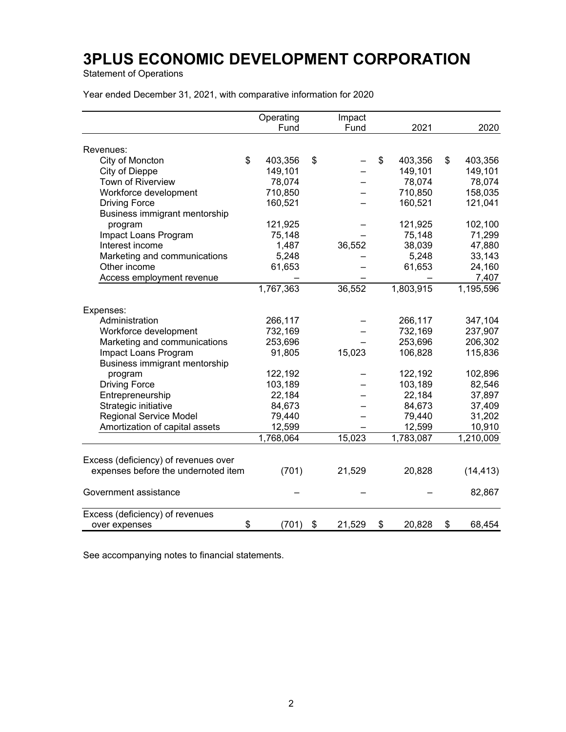Statement of Operations

Year ended December 31, 2021, with comparative information for 2020

|                                      | Operating   | Impact       |              |              |
|--------------------------------------|-------------|--------------|--------------|--------------|
|                                      | Fund        | Fund         | 2021         | 2020         |
|                                      |             |              |              |              |
| Revenues:                            | \$          |              | \$           | \$           |
| City of Moncton                      | 403,356     | \$           | 403,356      | 403,356      |
| City of Dieppe                       | 149,101     |              | 149,101      | 149,101      |
| Town of Riverview                    | 78,074      |              | 78,074       | 78,074       |
| Workforce development                | 710,850     |              | 710,850      | 158,035      |
| <b>Driving Force</b>                 | 160,521     |              | 160,521      | 121,041      |
| Business immigrant mentorship        |             |              |              |              |
| program                              | 121,925     |              | 121,925      | 102,100      |
| Impact Loans Program                 | 75,148      |              | 75,148       | 71,299       |
| Interest income                      | 1,487       | 36,552       | 38,039       | 47,880       |
| Marketing and communications         | 5,248       |              | 5,248        | 33,143       |
| Other income                         | 61,653      |              | 61,653       | 24,160       |
| Access employment revenue            |             |              |              | 7,407        |
|                                      | 1,767,363   | 36,552       | 1,803,915    | 1,195,596    |
|                                      |             |              |              |              |
| Expenses:                            |             |              |              |              |
| Administration                       | 266,117     |              | 266,117      | 347,104      |
| Workforce development                | 732,169     |              | 732,169      | 237,907      |
| Marketing and communications         | 253,696     |              | 253,696      | 206,302      |
| Impact Loans Program                 | 91,805      | 15,023       | 106,828      | 115,836      |
| Business immigrant mentorship        |             |              |              |              |
| program                              | 122,192     |              | 122,192      | 102,896      |
| <b>Driving Force</b>                 | 103,189     |              | 103,189      | 82,546       |
| Entrepreneurship                     | 22,184      |              | 22,184       | 37,897       |
| Strategic initiative                 | 84,673      |              | 84,673       | 37,409       |
| <b>Regional Service Model</b>        | 79,440      |              | 79,440       | 31,202       |
| Amortization of capital assets       | 12,599      |              | 12,599       | 10,910       |
|                                      | 1,768,064   | 15,023       | 1,783,087    | 1,210,009    |
|                                      |             |              |              |              |
| Excess (deficiency) of revenues over |             |              |              |              |
| expenses before the undernoted item  | (701)       | 21,529       | 20,828       | (14, 413)    |
| Government assistance                |             |              |              | 82,867       |
| Excess (deficiency) of revenues      |             |              |              |              |
| over expenses                        | \$<br>(701) | \$<br>21,529 | \$<br>20,828 | \$<br>68,454 |

See accompanying notes to financial statements.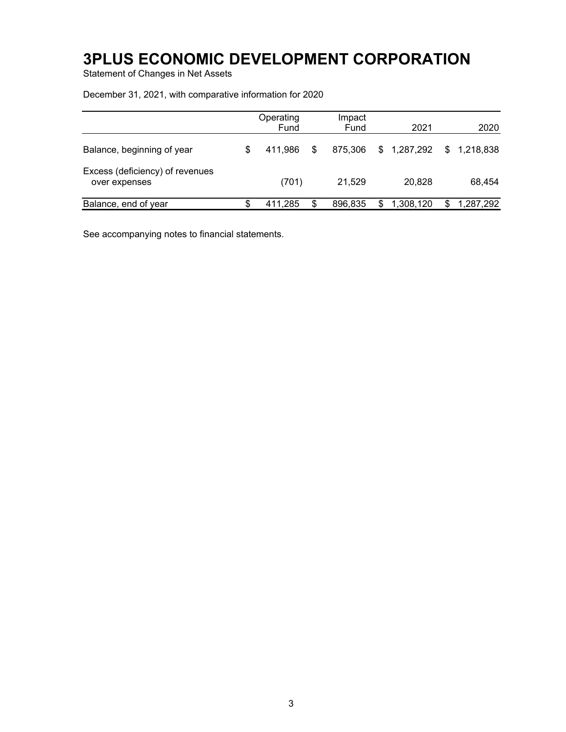Statement of Changes in Net Assets

December 31, 2021, with comparative information for 2020

|                                                  | Operating<br>Fund |    | Impact<br>Fund | 2021            | 2020            |
|--------------------------------------------------|-------------------|----|----------------|-----------------|-----------------|
| Balance, beginning of year                       | 411.986           | -S | 875,306        | \$1,287,292     | \$1,218,838     |
| Excess (deficiency) of revenues<br>over expenses | (701)             |    | 21,529         | 20,828          | 68,454          |
| Balance, end of year                             | 411.285           |    | 896.835        | \$<br>1,308,120 | 1,287,292<br>S. |

See accompanying notes to financial statements.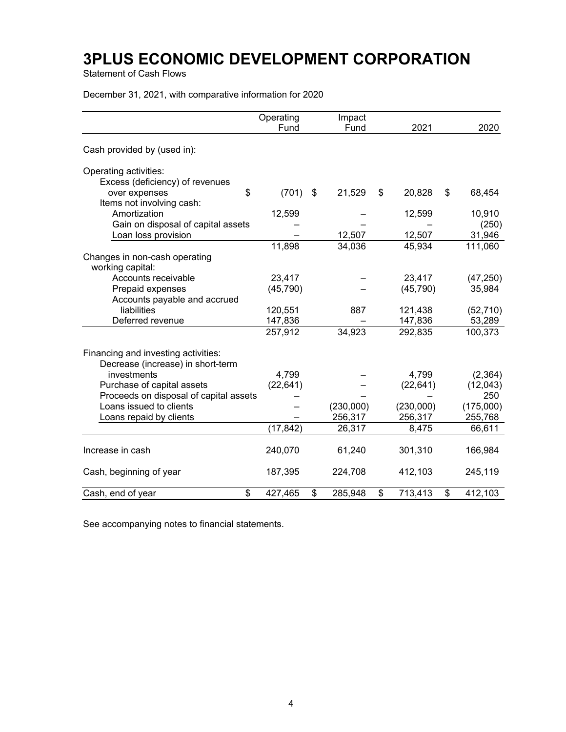Statement of Cash Flows

December 31, 2021, with comparative information for 2020

|                                        | Operating<br>Fund | Impact<br>Fund | 2021          | 2020          |
|----------------------------------------|-------------------|----------------|---------------|---------------|
|                                        |                   |                |               |               |
| Cash provided by (used in):            |                   |                |               |               |
| Operating activities:                  |                   |                |               |               |
| Excess (deficiency) of revenues        |                   |                |               |               |
| \$<br>over expenses                    | (701)             | \$<br>21,529   | \$<br>20,828  | \$<br>68,454  |
| Items not involving cash:              |                   |                |               |               |
| Amortization                           | 12,599            |                | 12,599        | 10,910        |
| Gain on disposal of capital assets     |                   |                |               | (250)         |
| Loan loss provision                    |                   | 12,507         | 12,507        | 31,946        |
|                                        | 11,898            | 34,036         | 45,934        | 111,060       |
| Changes in non-cash operating          |                   |                |               |               |
| working capital:                       |                   |                |               |               |
| Accounts receivable                    | 23,417            |                | 23,417        | (47, 250)     |
| Prepaid expenses                       | (45, 790)         |                | (45, 790)     | 35,984        |
| Accounts payable and accrued           |                   |                |               |               |
| liabilities                            | 120,551           | 887            | 121,438       | (52, 710)     |
| Deferred revenue                       | 147,836           |                | 147,836       | 53,289        |
|                                        | 257,912           | 34,923         | 292,835       | 100,373       |
|                                        |                   |                |               |               |
| Financing and investing activities:    |                   |                |               |               |
| Decrease (increase) in short-term      |                   |                |               |               |
| investments                            | 4,799             |                | 4,799         | (2, 364)      |
| Purchase of capital assets             | (22, 641)         |                | (22, 641)     | (12,043)      |
| Proceeds on disposal of capital assets |                   |                |               | 250           |
| Loans issued to clients                |                   | (230,000)      | (230,000)     | (175,000)     |
| Loans repaid by clients                |                   | 256,317        | 256,317       | 255,768       |
|                                        | (17, 842)         | 26,317         | 8,475         | 66,611        |
| Increase in cash                       | 240,070           | 61,240         | 301,310       | 166,984       |
| Cash, beginning of year                | 187,395           | 224,708        | 412,103       | 245,119       |
| \$<br>Cash, end of year                | 427,465           | \$<br>285,948  | \$<br>713,413 | \$<br>412,103 |

See accompanying notes to financial statements.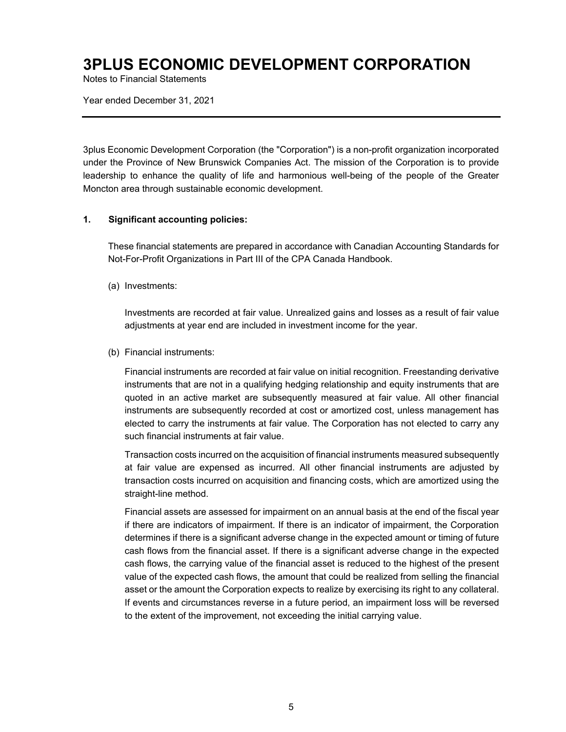Notes to Financial Statements

Year ended December 31, 2021

3plus Economic Development Corporation (the "Corporation") is a non-profit organization incorporated under the Province of New Brunswick Companies Act. The mission of the Corporation is to provide leadership to enhance the quality of life and harmonious well-being of the people of the Greater Moncton area through sustainable economic development.

#### **1. Significant accounting policies:**

These financial statements are prepared in accordance with Canadian Accounting Standards for Not-For-Profit Organizations in Part III of the CPA Canada Handbook.

(a) Investments:

Investments are recorded at fair value. Unrealized gains and losses as a result of fair value adjustments at year end are included in investment income for the year.

(b) Financial instruments:

Financial instruments are recorded at fair value on initial recognition. Freestanding derivative instruments that are not in a qualifying hedging relationship and equity instruments that are quoted in an active market are subsequently measured at fair value. All other financial instruments are subsequently recorded at cost or amortized cost, unless management has elected to carry the instruments at fair value. The Corporation has not elected to carry any such financial instruments at fair value.

Transaction costs incurred on the acquisition of financial instruments measured subsequently at fair value are expensed as incurred. All other financial instruments are adjusted by transaction costs incurred on acquisition and financing costs, which are amortized using the straight-line method.

Financial assets are assessed for impairment on an annual basis at the end of the fiscal year if there are indicators of impairment. If there is an indicator of impairment, the Corporation determines if there is a significant adverse change in the expected amount or timing of future cash flows from the financial asset. If there is a significant adverse change in the expected cash flows, the carrying value of the financial asset is reduced to the highest of the present value of the expected cash flows, the amount that could be realized from selling the financial asset or the amount the Corporation expects to realize by exercising its right to any collateral. If events and circumstances reverse in a future period, an impairment loss will be reversed to the extent of the improvement, not exceeding the initial carrying value.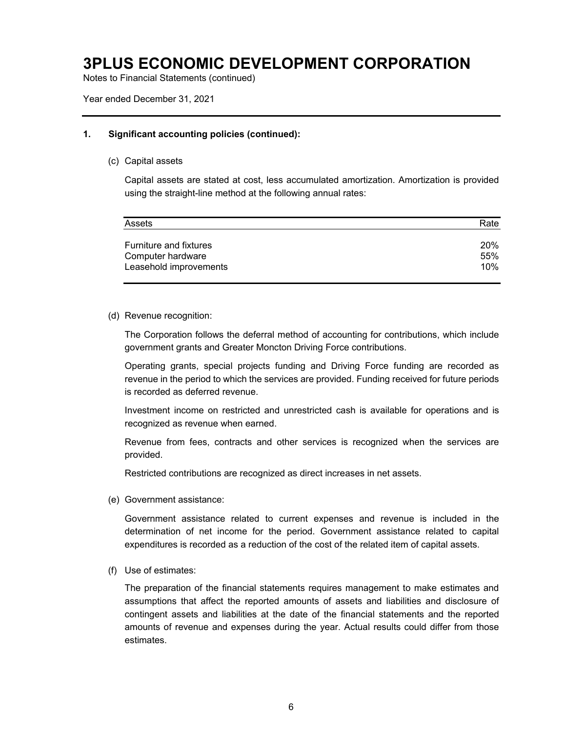Notes to Financial Statements (continued)

Year ended December 31, 2021

#### **1. Significant accounting policies (continued):**

(c) Capital assets

Capital assets are stated at cost, less accumulated amortization. Amortization is provided using the straight-line method at the following annual rates:

| Assets                        | Rate |
|-------------------------------|------|
| <b>Furniture and fixtures</b> | 20%  |
| Computer hardware             | 55%  |
| Leasehold improvements        | 10%  |

#### (d) Revenue recognition:

The Corporation follows the deferral method of accounting for contributions, which include government grants and Greater Moncton Driving Force contributions.

Operating grants, special projects funding and Driving Force funding are recorded as revenue in the period to which the services are provided. Funding received for future periods is recorded as deferred revenue.

Investment income on restricted and unrestricted cash is available for operations and is recognized as revenue when earned.

Revenue from fees, contracts and other services is recognized when the services are provided.

Restricted contributions are recognized as direct increases in net assets.

(e) Government assistance:

Government assistance related to current expenses and revenue is included in the determination of net income for the period. Government assistance related to capital expenditures is recorded as a reduction of the cost of the related item of capital assets.

(f) Use of estimates:

The preparation of the financial statements requires management to make estimates and assumptions that affect the reported amounts of assets and liabilities and disclosure of contingent assets and liabilities at the date of the financial statements and the reported amounts of revenue and expenses during the year. Actual results could differ from those estimates.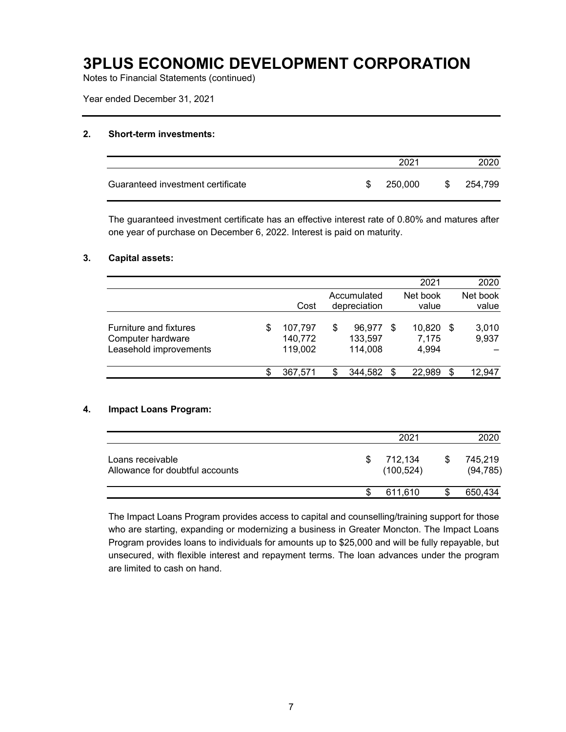Notes to Financial Statements (continued)

Year ended December 31, 2021

#### **2. Short-term investments:**

|                                   |     | 2021    |      |         |
|-----------------------------------|-----|---------|------|---------|
| Guaranteed investment certificate | \$. | 250,000 | - SS | 254,799 |

The guaranteed investment certificate has an effective interest rate of 0.80% and matures after one year of purchase on December 6, 2022. Interest is paid on maturity.

#### **3. Capital assets:**

|                                                                       |   |                               |   |                              | 2021                           |      | 2020              |
|-----------------------------------------------------------------------|---|-------------------------------|---|------------------------------|--------------------------------|------|-------------------|
|                                                                       |   | Cost                          |   | Accumulated<br>depreciation  | Net book<br>value              |      | Net book<br>value |
| Furniture and fixtures<br>Computer hardware<br>Leasehold improvements | S | 107.797<br>140,772<br>119,002 | S | 96.977<br>133,597<br>114,008 | \$<br>10,820<br>7,175<br>4,994 | - \$ | 3,010<br>9,937    |
|                                                                       |   | 367,571                       |   | 344,582                      | \$<br>22,989                   | S    | 12,947            |

#### **4. Impact Loans Program:**

|                                                     | 2021                  |   | 2020                 |
|-----------------------------------------------------|-----------------------|---|----------------------|
| Loans receivable<br>Allowance for doubtful accounts | 712,134<br>(100, 524) | S | 745,219<br>(94, 785) |
|                                                     | 611.610               | S | 650,434              |

The Impact Loans Program provides access to capital and counselling/training support for those who are starting, expanding or modernizing a business in Greater Moncton. The Impact Loans Program provides loans to individuals for amounts up to \$25,000 and will be fully repayable, but unsecured, with flexible interest and repayment terms. The loan advances under the program are limited to cash on hand.